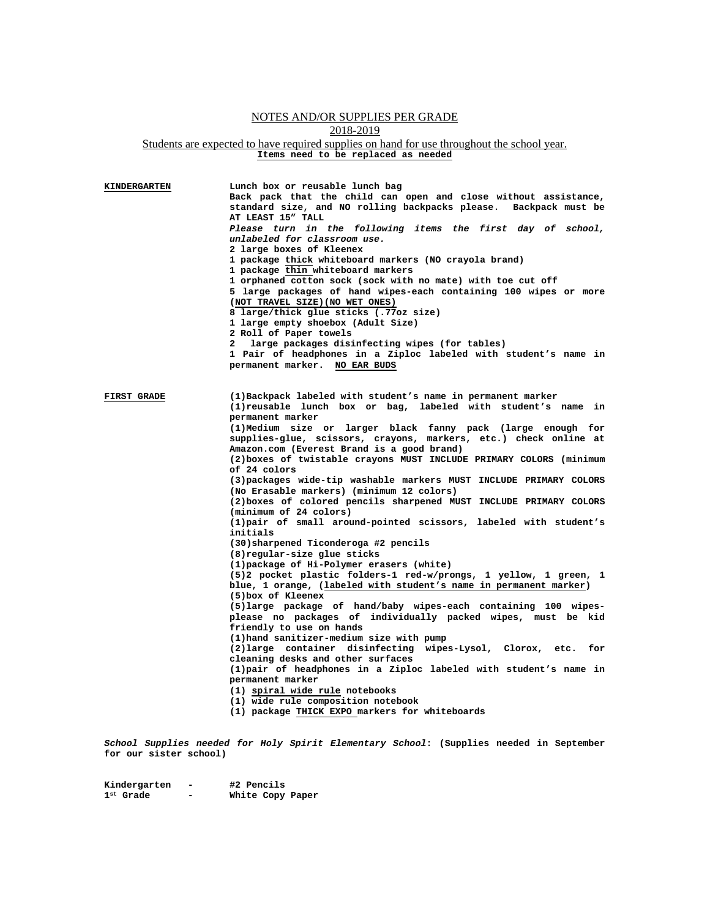## NOTES AND/OR SUPPLIES PER GRADE 2018-2019 Students are expected to have required supplies on hand for use throughout the school year. **Items need to be replaced as needed**

| <b>KINDERGARTEN</b> | Lunch box or reusable lunch bag<br>Back pack that the child can open and close without assistance,<br>standard size, and NO rolling backpacks please. Backpack must be<br>AT LEAST 15" TALL<br>Please turn in the following items the first day of school,<br>unlabeled for classroom use.<br>2 large boxes of Kleenex<br>1 package thick whiteboard markers (NO crayola brand)<br>1 package thin whiteboard markers<br>1 orphaned cotton sock (sock with no mate) with toe cut off<br>5 large packages of hand wipes-each containing 100 wipes or more<br>(NOT TRAVEL SIZE) (NO WET ONES)<br>8 large/thick glue sticks (.77oz size)<br>1 large empty shoebox (Adult Size)<br>2 Roll of Paper towels<br>large packages disinfecting wipes (for tables)<br>$\mathbf{2}$<br>1 Pair of headphones in a Ziploc labeled with student's name in<br>permanent marker. NO EAR BUDS                                                                                                                                                                                                                                                                                                                                                                                                                                                                                                                                                                                                                                                                                      |
|---------------------|-----------------------------------------------------------------------------------------------------------------------------------------------------------------------------------------------------------------------------------------------------------------------------------------------------------------------------------------------------------------------------------------------------------------------------------------------------------------------------------------------------------------------------------------------------------------------------------------------------------------------------------------------------------------------------------------------------------------------------------------------------------------------------------------------------------------------------------------------------------------------------------------------------------------------------------------------------------------------------------------------------------------------------------------------------------------------------------------------------------------------------------------------------------------------------------------------------------------------------------------------------------------------------------------------------------------------------------------------------------------------------------------------------------------------------------------------------------------------------------------------------------------------------------------------------------------|
| <b>FIRST GRADE</b>  | (1) Backpack labeled with student's name in permanent marker<br>(1) reusable lunch box or bag, labeled with student's name<br>in.<br>permanent marker<br>(1) Medium size or larger black fanny pack (large enough for<br>supplies-glue, scissors, crayons, markers, etc.) check online at<br>Amazon.com (Everest Brand is a good brand)<br>(2) boxes of twistable crayons MUST INCLUDE PRIMARY COLORS (minimum<br>of 24 colors<br>(3) packages wide-tip washable markers MUST INCLUDE PRIMARY COLORS<br>(No Erasable markers) (minimum 12 colors)<br>(2) boxes of colored pencils sharpened MUST INCLUDE PRIMARY COLORS<br>(minimum of 24 colors)<br>(1) pair of small around-pointed scissors, labeled with student's<br>initials<br>(30) sharpened Ticonderoga #2 pencils<br>(8) regular-size glue sticks<br>(1) package of Hi-Polymer erasers (white)<br>(5)2 pocket plastic folders-1 red-w/prongs, 1 yellow, 1 green, 1<br>blue, 1 orange, (labeled with student's name in permanent marker)<br>(5) box of Kleenex<br>(5) large package of hand/baby wipes-each containing 100 wipes-<br>please no packages of individually packed wipes, must be kid<br>friendly to use on hands<br>(1) hand sanitizer-medium size with pump<br>(2) large container disinfecting wipes-Lysol, Clorox, etc.<br>for<br>cleaning desks and other surfaces<br>(1) pair of headphones in a Ziploc labeled with student's name in<br>permanent marker<br>(1) spiral wide rule notebooks<br>(1) wide rule composition notebook<br>(1) package THICK EXPO markers for whiteboards |

*School Supplies needed for Holy Spirit Elementary School***: (Supplies needed in September for our sister school)** 

**Kindergarten - #2 Pencils 1st Grade - White Copy Paper**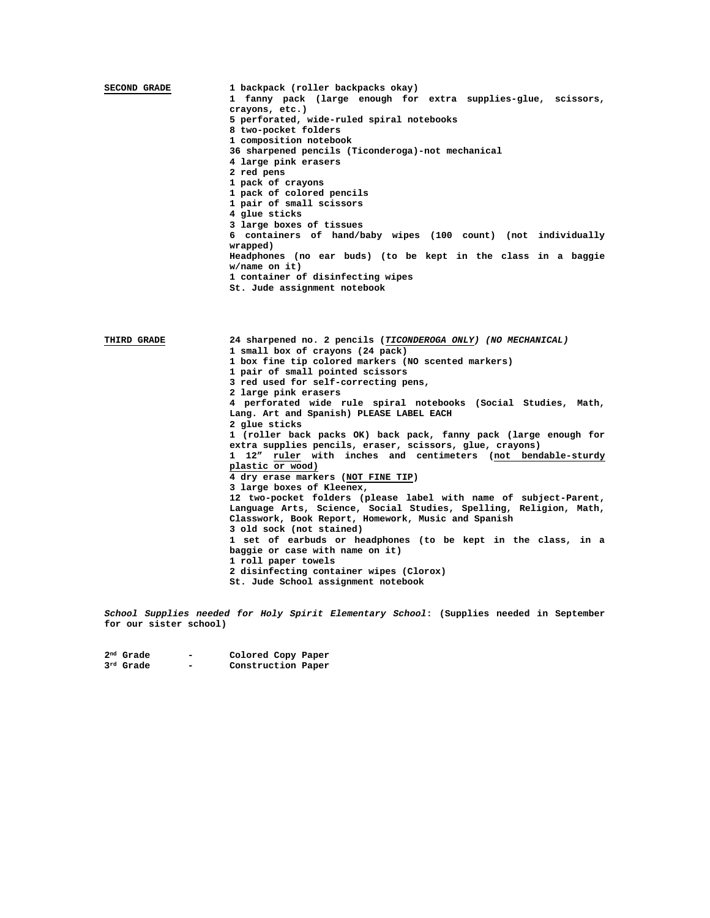| SECOND GRADE                      | 1 backpack (roller backpacks okay)                            |  |  |  |
|-----------------------------------|---------------------------------------------------------------|--|--|--|
|                                   | 1 fanny pack (large enough for extra supplies-glue, scissors, |  |  |  |
|                                   | crayons, etc.)                                                |  |  |  |
|                                   | 5 perforated, wide-ruled spiral notebooks                     |  |  |  |
|                                   | 8 two-pocket folders                                          |  |  |  |
|                                   | 1 composition notebook                                        |  |  |  |
|                                   | 36 sharpened pencils (Ticonderoga)-not mechanical             |  |  |  |
|                                   | 4 large pink erasers                                          |  |  |  |
|                                   | 2 red pens                                                    |  |  |  |
|                                   | 1 pack of crayons                                             |  |  |  |
|                                   | 1 pack of colored pencils                                     |  |  |  |
|                                   | 1 pair of small scissors                                      |  |  |  |
|                                   | 4 glue sticks                                                 |  |  |  |
|                                   |                                                               |  |  |  |
|                                   | 3 large boxes of tissues                                      |  |  |  |
|                                   | 6 containers of hand/baby wipes (100 count) (not individually |  |  |  |
|                                   | wrapped)                                                      |  |  |  |
|                                   | Headphones (no ear buds) (to be kept in the class in a baggie |  |  |  |
|                                   | $w/name$ on it)                                               |  |  |  |
| 1 container of disinfecting wipes |                                                               |  |  |  |
|                                   | St. Jude assignment notebook                                  |  |  |  |
|                                   |                                                               |  |  |  |

**THIRD GRADE 24 sharpened no. 2 pencils (***TICONDEROGA ONLY) (NO MECHANICAL)* **1 small box of crayons (24 pack) 1 box fine tip colored markers (NO scented markers) 1 pair of small pointed scissors 3 red used for self-correcting pens, 2 large pink erasers 4 perforated wide rule spiral notebooks (Social Studies, Math, Lang. Art and Spanish) PLEASE LABEL EACH 2 glue sticks 1 (roller back packs OK) back pack, fanny pack (large enough for extra supplies pencils, eraser, scissors, glue, crayons) 1 12" ruler with inches and centimeters (not bendable-sturdy plastic or wood) 4 dry erase markers (NOT FINE TIP) 3 large boxes of Kleenex, 12 two-pocket folders (please label with name of subject-Parent, Language Arts, Science, Social Studies, Spelling, Religion, Math, Classwork, Book Report, Homework, Music and Spanish 3 old sock (not stained) 1 set of earbuds or headphones (to be kept in the class, in a baggie or case with name on it) 1 roll paper towels 2 disinfecting container wipes (Clorox) St. Jude School assignment notebook**

*School Supplies needed for Holy Spirit Elementary School***: (Supplies needed in September for our sister school)** 

**2nd Grade - Colored Copy Paper 3rd Grade - Construction Paper**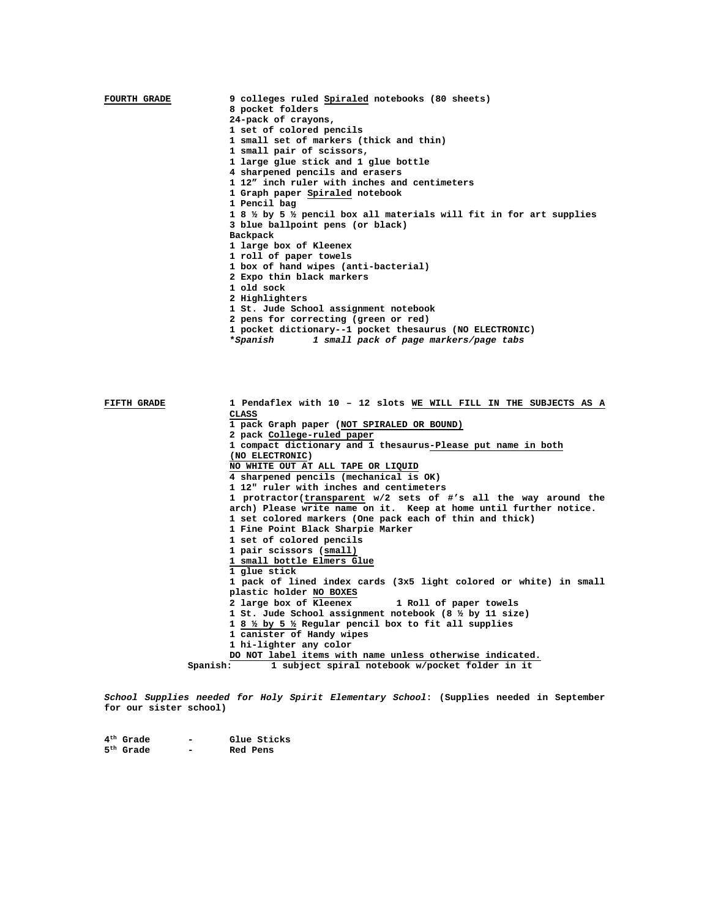| <b>FOURTH GRADE</b> | 9 colleges ruled Spiraled notebooks (80 sheets)<br>8 pocket folders<br>24-pack of crayons,<br>1 set of colored pencils<br>1 small set of markers (thick and thin)<br>1 small pair of scissors,<br>1 large glue stick and 1 glue bottle<br>4 sharpened pencils and erasers<br>1 12" inch ruler with inches and centimeters<br>1 Graph paper Spiraled notebook<br>1 Pencil bag<br>1 8 % by 5 % pencil box all materials will fit in for art supplies<br>3 blue ballpoint pens (or black)<br>Backpack<br>1 large box of Kleenex<br>1 roll of paper towels<br>1 box of hand wipes (anti-bacterial)<br>2 Expo thin black markers<br>1 old sock<br>2 Highlighters<br>1 St. Jude School assignment notebook<br>2 pens for correcting (green or red)<br>1 pocket dictionary--1 pocket thesaurus (NO ELECTRONIC)<br>*Spanish<br>1 small pack of page markers/page tabs |
|---------------------|---------------------------------------------------------------------------------------------------------------------------------------------------------------------------------------------------------------------------------------------------------------------------------------------------------------------------------------------------------------------------------------------------------------------------------------------------------------------------------------------------------------------------------------------------------------------------------------------------------------------------------------------------------------------------------------------------------------------------------------------------------------------------------------------------------------------------------------------------------------|
| RTRTH CRADE         | 1 Pendaflex with 10 - 12 slots WE WILL FILL IN THE SUBJECTS<br>AS.                                                                                                                                                                                                                                                                                                                                                                                                                                                                                                                                                                                                                                                                                                                                                                                            |

| FIFTH GRADE | 1 Pendaflex with 10 - 12 slots WE WILL FILL IN THE SUBJECTS AS A  |
|-------------|-------------------------------------------------------------------|
|             | CLASS                                                             |
|             | 1 pack Graph paper (NOT SPIRALED OR BOUND)                        |
|             | 2 pack College-ruled paper                                        |
|             | 1 compact dictionary and 1 thesaurus-Please put name in both      |
|             | (NO ELECTRONIC)                                                   |
|             | NO WHITE OUT AT ALL TAPE OR LIOUID                                |
|             | 4 sharpened pencils (mechanical is OK)                            |
|             | 1 12" ruler with inches and centimeters                           |
|             | 1 protractor(transparent w/2 sets of #'s all the way around the   |
|             | arch) Please write name on it. Keep at home until further notice. |
|             | 1 set colored markers (One pack each of thin and thick)           |
|             | 1 Fine Point Black Sharpie Marker                                 |
|             | 1 set of colored pencils                                          |
|             | 1 pair scissors (small)                                           |
|             | 1 small bottle Elmers Glue                                        |
|             | 1 glue stick                                                      |
|             | 1 pack of lined index cards (3x5 light colored or white) in small |
|             | plastic holder NO BOXES                                           |
|             | 2 large box of Kleenex 1 Roll of paper towels                     |
|             | 1 St. Jude School assignment notebook (8 1/2 by 11 size)          |
|             | 1 8 1/2 by 5 1/2 Regular pencil box to fit all supplies           |
|             | 1 canister of Handy wipes                                         |
|             | 1 hi-lighter any color                                            |
|             | DO NOT label items with name unless otherwise indicated.          |
|             | 1 subject spiral notebook w/pocket folder in it<br>Spanish:       |

*School Supplies needed for Holy Spirit Elementary School***: (Supplies needed in September for our sister school)** 

| $4^{\rm th}$ Grade    | - | Glue Sticks |
|-----------------------|---|-------------|
| 5 <sup>th</sup> Grade | - | Red Pens    |